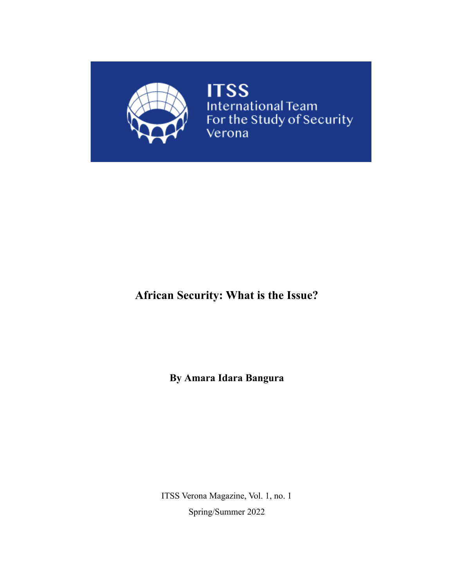

**ITSS**<br>International Team<br>For the Study of Security<br>Verona

# **African Security: What is the Issue?**

**By Amara Idara Bangura**

ITSS Verona Magazine, Vol. 1, no. 1 Spring/Summer 2022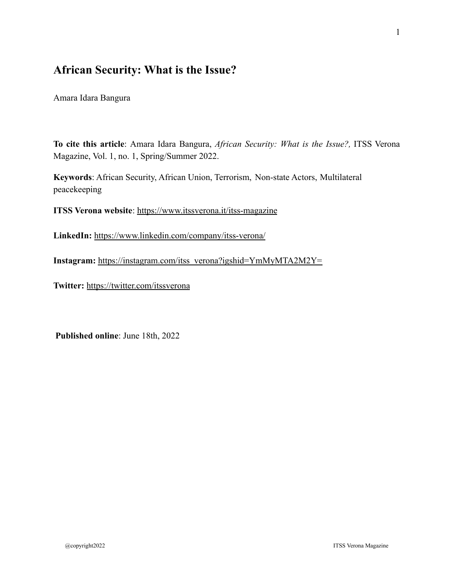# **African Security: What is the Issue?**

Amara Idara Bangura

**To cite this article**: Amara Idara Bangura, *African Security: What is the Issue?,* ITSS Verona Magazine, Vol. 1, no. 1, Spring/Summer 2022.

**Keywords**: African Security, African Union, Terrorism, Non-state Actors, Multilateral peacekeeping

**ITSS Verona website**:<https://www.itssverona.it/itss-magazine>

**LinkedIn:** <https://www.linkedin.com/company/itss-verona/>

**Instagram:** [https://instagram.com/itss\\_verona?igshid=YmMyMTA2M2Y=](https://instagram.com/itss_verona?igshid=YmMyMTA2M2Y=)

**Twitter:** <https://twitter.com/itssverona>

**Published online**: June 18th, 2022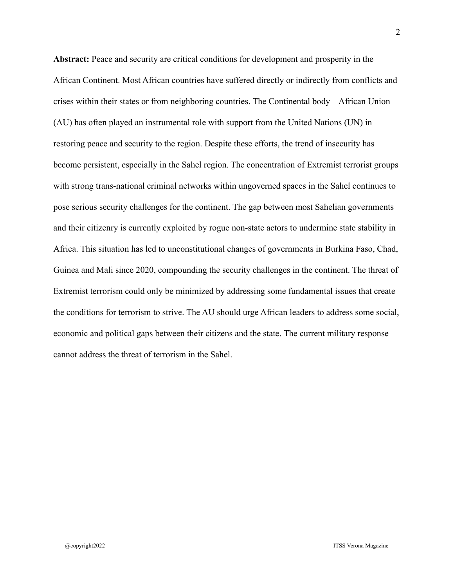**Abstract:** Peace and security are critical conditions for development and prosperity in the African Continent. Most African countries have suffered directly or indirectly from conflicts and crises within their states or from neighboring countries. The Continental body – African Union (AU) has often played an instrumental role with support from the United Nations (UN) in restoring peace and security to the region. Despite these efforts, the trend of insecurity has become persistent, especially in the Sahel region. The concentration of Extremist terrorist groups with strong trans-national criminal networks within ungoverned spaces in the Sahel continues to pose serious security challenges for the continent. The gap between most Sahelian governments and their citizenry is currently exploited by rogue non-state actors to undermine state stability in Africa. This situation has led to unconstitutional changes of governments in Burkina Faso, Chad, Guinea and Mali since 2020, compounding the security challenges in the continent. The threat of Extremist terrorism could only be minimized by addressing some fundamental issues that create the conditions for terrorism to strive. The AU should urge African leaders to address some social, economic and political gaps between their citizens and the state. The current military response cannot address the threat of terrorism in the Sahel.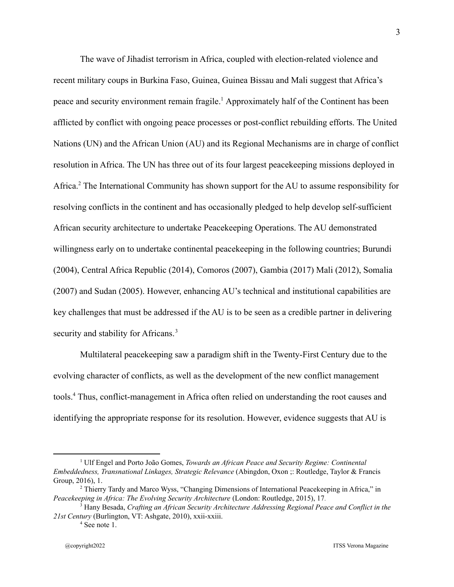The wave of Jihadist terrorism in Africa, coupled with election-related violence and recent military coups in Burkina Faso, Guinea, Guinea Bissau and Mali suggest that Africa's peace and security environment remain fragile.<sup>1</sup> Approximately half of the Continent has been afflicted by conflict with ongoing peace processes or post-conflict rebuilding efforts. The United Nations (UN) and the African Union (AU) and its Regional Mechanisms are in charge of conflict resolution in Africa. The UN has three out of its four largest peacekeeping missions deployed in Africa.<sup>2</sup> The International Community has shown support for the AU to assume responsibility for resolving conflicts in the continent and has occasionally pledged to help develop self-sufficient African security architecture to undertake Peacekeeping Operations. The AU demonstrated willingness early on to undertake continental peacekeeping in the following countries; Burundi (2004), Central Africa Republic (2014), Comoros (2007), Gambia (2017) Mali (2012), Somalia (2007) and Sudan (2005). However, enhancing AU's technical and institutional capabilities are key challenges that must be addressed if the AU is to be seen as a credible partner in delivering security and stability for Africans.<sup>3</sup>

Multilateral peacekeeping saw a paradigm shift in the Twenty-First Century due to the evolving character of conflicts, as well as the development of the new conflict management tools.<sup>4</sup> Thus, conflict-management in Africa often relied on understanding the root causes and identifying the appropriate response for its resolution. However, evidence suggests that AU is

<sup>1</sup> Ulf Engel and Porto João Gomes, *Towards an African Peace and Security Regime: Continental Embeddedness, Transnational Linkages, Strategic Relevance* (Abingdon, Oxon ;: Routledge, Taylor & Francis Group, 2016), 1.

<sup>2</sup> Thierry Tardy and Marco Wyss, "Changing Dimensions of International Peacekeeping in Africa," in *Peacekeeping in Africa: The Evolving Security Architecture* (London: Routledge, 2015), 17.

<sup>3</sup> Hany Besada, *Crafting an African Security Architecture Addressing Regional Peace and Conflict in the 21st Century* (Burlington, VT: Ashgate, 2010), xxii-xxiii.

<sup>&</sup>lt;sup>4</sup> See note 1.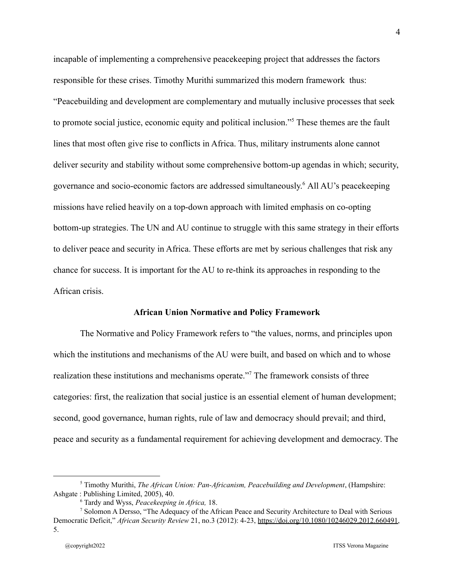incapable of implementing a comprehensive peacekeeping project that addresses the factors responsible for these crises. Timothy Murithi summarized this modern framework thus: "Peacebuilding and development are complementary and mutually inclusive processes that seek to promote social justice, economic equity and political inclusion."<sup>5</sup> These themes are the fault lines that most often give rise to conflicts in Africa. Thus, military instruments alone cannot deliver security and stability without some comprehensive bottom-up agendas in which; security, governance and socio-economic factors are addressed simultaneously.<sup>6</sup> All AU's peacekeeping missions have relied heavily on a top-down approach with limited emphasis on co-opting bottom-up strategies. The UN and AU continue to struggle with this same strategy in their efforts to deliver peace and security in Africa. These efforts are met by serious challenges that risk any chance for success. It is important for the AU to re-think its approaches in responding to the African crisis.

#### **African Union Normative and Policy Framework**

The Normative and Policy Framework refers to "the values, norms, and principles upon which the institutions and mechanisms of the AU were built, and based on which and to whose realization these institutions and mechanisms operate."<sup>7</sup> The framework consists of three categories: first, the realization that social justice is an essential element of human development; second, good governance, human rights, rule of law and democracy should prevail; and third, peace and security as a fundamental requirement for achieving development and democracy. The

<sup>5</sup> Timothy Murithi, *The African Union: Pan-Africanism, Peacebuilding and Development*, (Hampshire: Ashgate : Publishing Limited, 2005), 40.

<sup>6</sup> Tardy and Wyss, *Peacekeeping in Africa,* 18.

<sup>&</sup>lt;sup>7</sup> Solomon A Dersso, "The Adequacy of the African Peace and Security Architecture to Deal with Serious Democratic Deficit," *African Security Review* 21, no.3 (2012): 4-23, [https://doi.org/10.1080/10246029.2012.660491,](https://doi.org/10.1080/10246029.2012.660491) 5.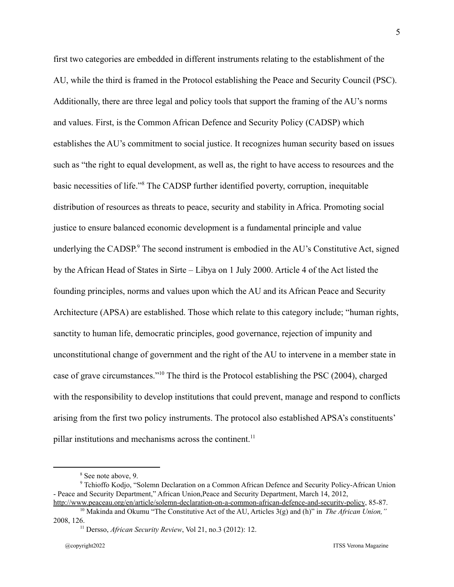first two categories are embedded in different instruments relating to the establishment of the AU, while the third is framed in the Protocol establishing the Peace and Security Council (PSC). Additionally, there are three legal and policy tools that support the framing of the AU's norms and values. First, is the Common African Defence and Security Policy (CADSP) which establishes the AU's commitment to social justice. It recognizes human security based on issues such as "the right to equal development, as well as, the right to have access to resources and the basic necessities of life."<sup>8</sup> The CADSP further identified poverty, corruption, inequitable distribution of resources as threats to peace, security and stability in Africa. Promoting social justice to ensure balanced economic development is a fundamental principle and value underlying the CADSP. $9^9$  The second instrument is embodied in the AU's Constitutive Act, signed by the African Head of States in Sirte – Libya on 1 July 2000. Article 4 of the Act listed the founding principles, norms and values upon which the AU and its African Peace and Security Architecture (APSA) are established. Those which relate to this category include; "human rights, sanctity to human life, democratic principles, good governance, rejection of impunity and unconstitutional change of government and the right of the AU to intervene in a member state in case of grave circumstances."<sup>10</sup> The third is the Protocol establishing the PSC (2004), charged with the responsibility to develop institutions that could prevent, manage and respond to conflicts arising from the first two policy instruments. The protocol also established APSA's constituents' pillar institutions and mechanisms across the continent.<sup>11</sup>

<sup>8</sup> See note above, 9.

<sup>&</sup>lt;sup>9</sup> Tchioffo Kodjo, "Solemn Declaration on a Common African Defence and Security Policy-African Union - Peace and Security Department," African Union,Peace and Security Department, March 14, 2012,

<sup>10</sup> Makinda and Okumu "The Constitutive Act of the AU, Articles 3(g) and (h)" in *The African Union,"* <http://www.peaceau.org/en/article/solemn-declaration-on-a-common-african-defence-and-security-policy>, 85-87.

<sup>11</sup> Dersso, *African Security Review*, Vol 21, no.3 (2012): 12. 2008, 126.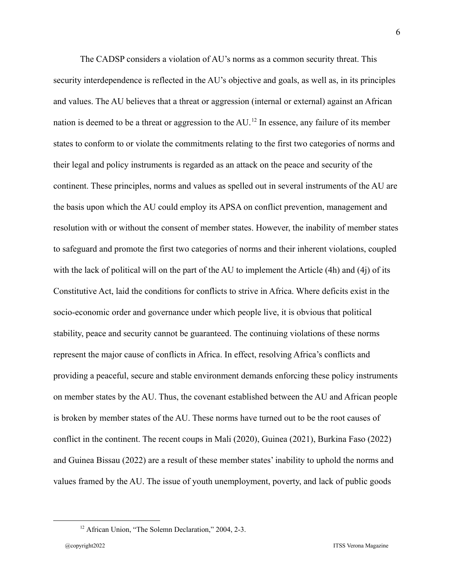The CADSP considers a violation of AU's norms as a common security threat. This security interdependence is reflected in the AU's objective and goals, as well as, in its principles and values. The AU believes that a threat or aggression (internal or external) against an African nation is deemed to be a threat or aggression to the  $AU$ .<sup>12</sup> In essence, any failure of its member states to conform to or violate the commitments relating to the first two categories of norms and their legal and policy instruments is regarded as an attack on the peace and security of the continent. These principles, norms and values as spelled out in several instruments of the AU are the basis upon which the AU could employ its APSA on conflict prevention, management and resolution with or without the consent of member states. However, the inability of member states to safeguard and promote the first two categories of norms and their inherent violations, coupled with the lack of political will on the part of the AU to implement the Article (4h) and (4j) of its Constitutive Act, laid the conditions for conflicts to strive in Africa. Where deficits exist in the socio-economic order and governance under which people live, it is obvious that political stability, peace and security cannot be guaranteed. The continuing violations of these norms represent the major cause of conflicts in Africa. In effect, resolving Africa's conflicts and providing a peaceful, secure and stable environment demands enforcing these policy instruments on member states by the AU. Thus, the covenant established between the AU and African people is broken by member states of the AU. These norms have turned out to be the root causes of conflict in the continent. The recent coups in Mali (2020), Guinea (2021), Burkina Faso (2022) and Guinea Bissau (2022) are a result of these member states' inability to uphold the norms and values framed by the AU. The issue of youth unemployment, poverty, and lack of public goods

<sup>&</sup>lt;sup>12</sup> African Union, "The Solemn Declaration," 2004, 2-3.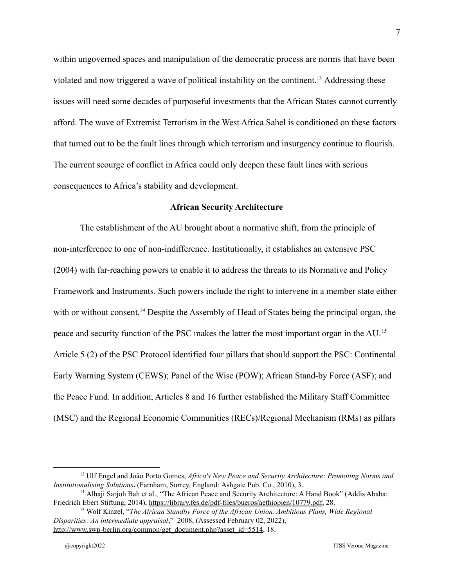within ungoverned spaces and manipulation of the democratic process are norms that have been violated and now triggered a wave of political instability on the continent.<sup>13</sup> Addressing these issues will need some decades of purposeful investments that the African States cannot currently afford. The wave of Extremist Terrorism in the West Africa Sahel is conditioned on these factors that turned out to be the fault lines through which terrorism and insurgency continue to flourish. The current scourge of conflict in Africa could only deepen these fault lines with serious consequences to Africa's stability and development.

#### **African Security Architecture**

The establishment of the AU brought about a normative shift, from the principle of non-interference to one of non-indifference. Institutionally, it establishes an extensive PSC (2004) with far-reaching powers to enable it to address the threats to its Normative and Policy Framework and Instruments. Such powers include the right to intervene in a member state either with or without consent.<sup>14</sup> Despite the Assembly of Head of States being the principal organ, the peace and security function of the PSC makes the latter the most important organ in the AU.<sup>15</sup> Article 5 (2) of the PSC Protocol identified four pillars that should support the PSC: Continental Early Warning System (CEWS); Panel of the Wise (POW); African Stand-by Force (ASF); and the Peace Fund. In addition, Articles 8 and 16 further established the Military Staff Committee (MSC) and the Regional Economic Communities (RECs)/Regional Mechanism (RMs) as pillars

<sup>13</sup> Ulf Engel and João Porto Gomes, *Africa's New Peace and Security Architecture: Promoting Norms and Institutionalising Solutions***.** (Farnham, Surrey, England: Ashgate Pub. Co., 2010), 3.

<sup>&</sup>lt;sup>14</sup> Alhaji Sarjoh Bah et al., "The African Peace and Security Architecture: A Hand Book" (Addis Ababa: Friedrich Ebert Stiftung, 2014), [https://library.fes.de/pdf-files/bueros/aethiopien/10779.pdf,](https://library.fes.de/pdf-files/bueros/aethiopien/10779.pdf) 28.

<sup>15</sup> Wolf Kinzel, "*The African Standby Force of the African Union. Ambitious Plans, Wide Regional Disparities: An intermediate appraisal*," 2008, (Assessed February 02, 2022), [http://www.swp-berlin.org/common/get\\_document.php?asset\\_id=5514,](http://www.swp-berlin.org/common/get_document.php?asset_id=5514) 18.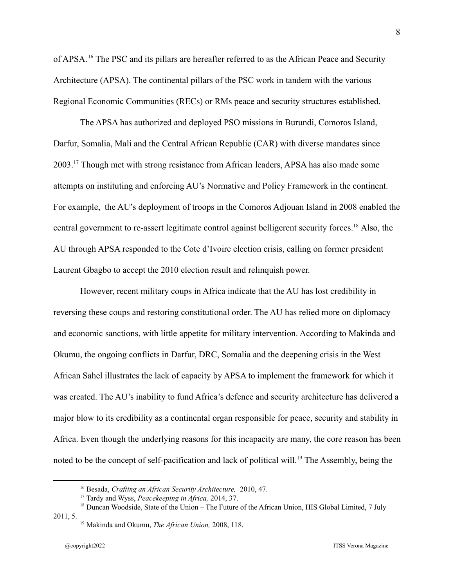of APSA.<sup>16</sup> The PSC and its pillars are hereafter referred to as the African Peace and Security Architecture (APSA). The continental pillars of the PSC work in tandem with the various Regional Economic Communities (RECs) or RMs peace and security structures established.

The APSA has authorized and deployed PSO missions in Burundi, Comoros Island, Darfur, Somalia, Mali and the Central African Republic (CAR) with diverse mandates since 2003.<sup>17</sup> Though met with strong resistance from African leaders, APSA has also made some attempts on instituting and enforcing AU's Normative and Policy Framework in the continent. For example, the AU's deployment of troops in the Comoros Adjouan Island in 2008 enabled the central government to re-assert legitimate control against belligerent security forces.<sup>18</sup> Also, the AU through APSA responded to the Cote d'Ivoire election crisis, calling on former president Laurent Gbagbo to accept the 2010 election result and relinquish power.

However, recent military coups in Africa indicate that the AU has lost credibility in reversing these coups and restoring constitutional order. The AU has relied more on diplomacy and economic sanctions, with little appetite for military intervention. According to Makinda and Okumu, the ongoing conflicts in Darfur, DRC, Somalia and the deepening crisis in the West African Sahel illustrates the lack of capacity by APSA to implement the framework for which it was created. The AU's inability to fund Africa's defence and security architecture has delivered a major blow to its credibility as a continental organ responsible for peace, security and stability in Africa. Even though the underlying reasons for this incapacity are many, the core reason has been noted to be the concept of self-pacification and lack of political will.<sup>19</sup> The Assembly, being the

<sup>16</sup> Besada, *Crafting an African Security Architecture,* 2010, 47.

<sup>17</sup> Tardy and Wyss, *Peacekeeping in Africa,* 2014, 37.

<sup>&</sup>lt;sup>18</sup> Duncan Woodside, State of the Union – The Future of the African Union, HIS Global Limited, 7 July 2011, 5.

<sup>19</sup> Makinda and Okumu, *The African Union,* 2008, 118.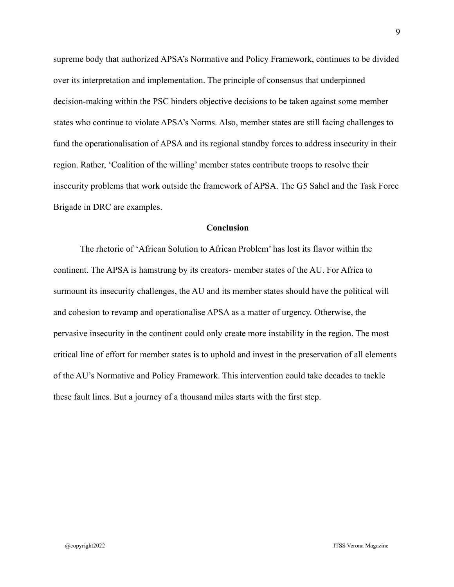supreme body that authorized APSA's Normative and Policy Framework, continues to be divided over its interpretation and implementation. The principle of consensus that underpinned decision-making within the PSC hinders objective decisions to be taken against some member states who continue to violate APSA's Norms. Also, member states are still facing challenges to fund the operationalisation of APSA and its regional standby forces to address insecurity in their region. Rather, 'Coalition of the willing' member states contribute troops to resolve their insecurity problems that work outside the framework of APSA. The G5 Sahel and the Task Force Brigade in DRC are examples.

#### **Conclusion**

The rhetoric of 'African Solution to African Problem' has lost its flavor within the continent. The APSA is hamstrung by its creators- member states of the AU. For Africa to surmount its insecurity challenges, the AU and its member states should have the political will and cohesion to revamp and operationalise APSA as a matter of urgency. Otherwise, the pervasive insecurity in the continent could only create more instability in the region. The most critical line of effort for member states is to uphold and invest in the preservation of all elements of the AU's Normative and Policy Framework. This intervention could take decades to tackle these fault lines. But a journey of a thousand miles starts with the first step.